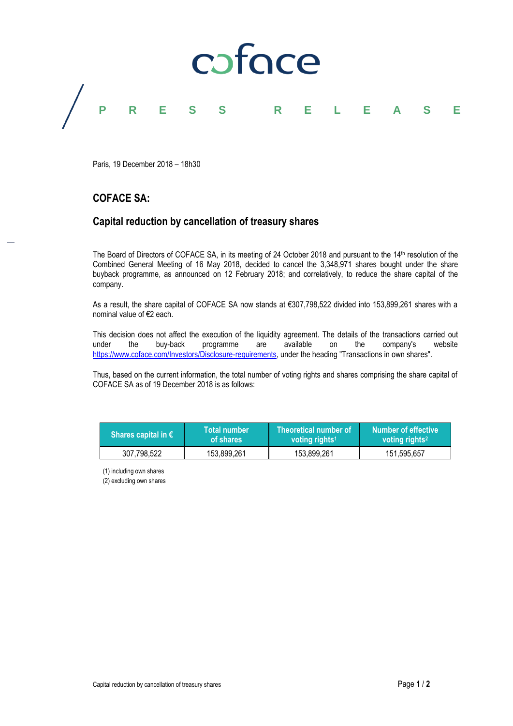

Paris, 19 December 2018 – 18h30

## **COFACE SA:**

## **Capital reduction by cancellation of treasury shares**

The Board of Directors of COFACE SA, in its meeting of 24 October 2018 and pursuant to the 14th resolution of the Combined General Meeting of 16 May 2018, decided to cancel the 3,348,971 shares bought under the share buyback programme, as announced on 12 February 2018; and correlatively, to reduce the share capital of the company.

As a result, the share capital of COFACE SA now stands at €307,798,522 divided into 153,899,261 shares with a nominal value of €2 each.

This decision does not affect the execution of the liquidity agreement. The details of the transactions carried out under the buy-back programme are available on the company's website [https://www.coface.com/Investors/Disclosure-requirements,](https://www.coface.com/Investors/Disclosure-requirements) under the heading "Transactions in own shares".

Thus, based on the current information, the total number of voting rights and shares comprising the share capital of COFACE SA as of 19 December 2018 is as follows:

| Shares capital in $\epsilon$ | <b>Total number</b> | Theoretical number of      | <b>Number of effective</b> |
|------------------------------|---------------------|----------------------------|----------------------------|
|                              | of shares           | voting rights <sup>1</sup> | voting rights <sup>2</sup> |
| 307,798,522                  | 153,899,261         | 153,899,261                | 151.595.657                |

(1) including own shares

(2) excluding own shares